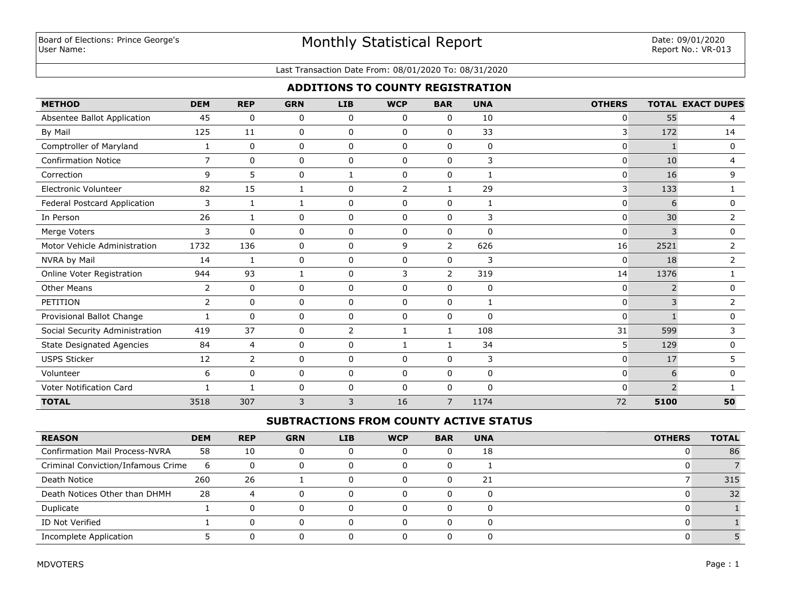# Monthly Statistical Report

#### Last Transaction Date From: 08/01/2020 To: 08/31/2020

## **ADDITIONS TO COUNTY REGISTRATION**

| <b>METHOD</b>                    | <b>DEM</b>     | <b>REP</b>     | <b>GRN</b>   | <b>LIB</b>  | <b>WCP</b>   | <b>BAR</b>     | <b>UNA</b>  | <b>OTHERS</b> |                | <b>TOTAL EXACT DUPES</b> |
|----------------------------------|----------------|----------------|--------------|-------------|--------------|----------------|-------------|---------------|----------------|--------------------------|
| Absentee Ballot Application      | 45             | $\Omega$       | 0            | 0           | $\mathbf{0}$ | $\Omega$       | 10          | $\mathbf{0}$  | 55             | 4                        |
| By Mail                          | 125            | 11             | 0            | 0           | $\mathbf 0$  | $\Omega$       | 33          | 3             | 172            | 14                       |
| Comptroller of Maryland          | 1              | 0              | 0            | $\mathbf 0$ | $\mathbf 0$  | 0              | $\mathbf 0$ | 0             | $\mathbf{1}$   | $\mathbf 0$              |
| <b>Confirmation Notice</b>       | $\overline{7}$ | 0              | 0            | 0           | $\mathbf 0$  | 0              | 3           | $\mathbf{0}$  | 10             | 4                        |
| Correction                       | 9              | 5              | 0            | 1           | $\mathbf 0$  | 0              | 1           | 0             | 16             | 9                        |
| <b>Electronic Volunteer</b>      | 82             | 15             | 1            | $\mathbf 0$ | 2            | $\mathbf{1}$   | 29          | 3             | 133            |                          |
| Federal Postcard Application     | 3              | 1              | $\mathbf{1}$ | 0           | 0            | 0              | 1           | $\mathbf 0$   | 6              | 0                        |
| In Person                        | 26             | 1              | 0            | $\mathbf 0$ | $\mathbf{0}$ | $\Omega$       | 3           | $\mathbf{0}$  | 30             | $\overline{2}$           |
| Merge Voters                     | 3              | $\Omega$       | 0            | $\mathbf 0$ | $\Omega$     | $\Omega$       | $\Omega$    | $\mathbf{0}$  | $\mathbf{3}$   | $\mathbf{0}$             |
| Motor Vehicle Administration     | 1732           | 136            | 0            | $\mathbf 0$ | 9            | $\overline{2}$ | 626         | 16            | 2521           | $\overline{2}$           |
| NVRA by Mail                     | 14             | 1              | 0            | $\mathbf 0$ | $\mathbf{0}$ | 0              | 3           | $\mathbf{0}$  | 18             | $\overline{2}$           |
| Online Voter Registration        | 944            | 93             | $\mathbf{1}$ | $\mathbf 0$ | 3            | $\overline{2}$ | 319         | 14            | 1376           |                          |
| <b>Other Means</b>               | 2              | 0              | 0            | $\mathbf 0$ | $\mathbf 0$  | 0              | $\mathbf 0$ | $\mathbf{0}$  | $\overline{2}$ | 0                        |
| PETITION                         | 2              | $\Omega$       | 0            | $\mathbf 0$ | 0            | 0              | 1           | $\mathbf{0}$  | 3              | 2                        |
| Provisional Ballot Change        |                | $\Omega$       | 0            | $\mathbf 0$ | $\Omega$     | 0              | $\Omega$    | $\mathbf{0}$  |                | 0                        |
| Social Security Administration   | 419            | 37             | 0            | 2           | $\mathbf{1}$ | 1              | 108         | 31            | 599            | 3                        |
| <b>State Designated Agencies</b> | 84             | 4              | 0            | $\mathbf 0$ | 1            | 1              | 34          | 5             | 129            | 0                        |
| <b>USPS Sticker</b>              | 12             | $\overline{2}$ | 0            | $\mathbf 0$ | $\mathbf 0$  | 0              | 3           | $\mathbf{0}$  | 17             | 5                        |
| Volunteer                        | 6              | $\mathbf 0$    | 0            | $\mathbf 0$ | $\mathbf 0$  | 0              | $\mathbf 0$ | $\mathbf{0}$  | 6              | $\mathbf 0$              |
| Voter Notification Card          | 1              | 1              | 0            | $\mathbf 0$ | $\mathbf 0$  | 0              | $\mathbf 0$ | $\mathbf{0}$  | $\overline{2}$ |                          |
| <b>TOTAL</b>                     | 3518           | 307            | 3            | 3           | 16           | 7              | 1174        | 72            | 5100           | 50                       |

## **SUBTRACTIONS FROM COUNTY ACTIVE STATUS**

| <b>REASON</b>                         | <b>DEM</b> | <b>REP</b>     | <b>GRN</b> | <b>LIB</b> | <b>WCP</b> | <b>BAR</b> | <b>UNA</b>   | <b>OTHERS</b> | <b>TOTAL</b> |
|---------------------------------------|------------|----------------|------------|------------|------------|------------|--------------|---------------|--------------|
| <b>Confirmation Mail Process-NVRA</b> | 58         | 10             |            |            |            |            | 18           |               | 86           |
| Criminal Conviction/Infamous Crime    | ь          |                |            |            | $\Omega$   |            |              |               |              |
| Death Notice                          | 260        | 26             |            |            | $\Omega$   |            | 21           |               | 315          |
| Death Notices Other than DHMH         | 28         | $\overline{a}$ |            |            | $\Omega$   |            | <sup>n</sup> |               | 32           |
| Duplicate                             |            |                |            |            | $\Omega$   |            |              |               |              |
| ID Not Verified                       |            |                |            |            | $\Omega$   |            |              |               |              |
| Incomplete Application                |            |                |            |            |            |            |              |               |              |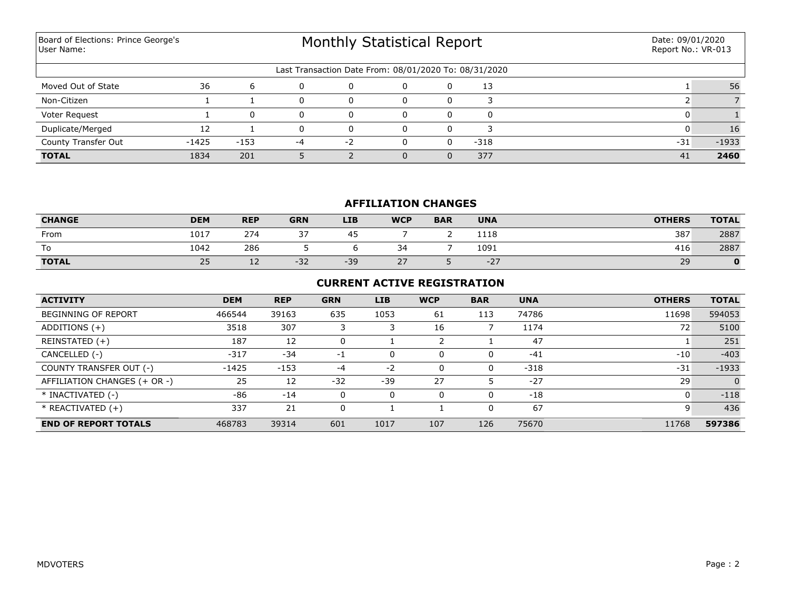Board of Elections: Prince George's User Name:

# Monthly Statistical Report

| Last Transaction Date From: 08/01/2020 To: 08/31/2020 |         |        |    |          |  |  |        |       |         |  |
|-------------------------------------------------------|---------|--------|----|----------|--|--|--------|-------|---------|--|
| Moved Out of State                                    | 36      |        |    | $\Omega$ |  |  | 13     |       | 56      |  |
| Non-Citizen                                           |         |        |    |          |  |  |        |       |         |  |
| Voter Request                                         |         |        |    |          |  |  |        |       |         |  |
| Duplicate/Merged                                      |         |        |    |          |  |  |        |       | 16      |  |
| <b>County Transfer Out</b>                            | $-1425$ | $-153$ | -4 | - 2      |  |  | $-318$ | $-31$ | $-1933$ |  |
| <b>TOTAL</b>                                          | 1834    | 201    |    |          |  |  | 377    | 41    | 2460    |  |

### **AFFILIATION CHANGES**

| <b>CHANGE</b> | <b>DEM</b>           | <b>REP</b> | <b>GRN</b> | <b>LIB</b> | <b>WCP</b>        | <b>BAR</b> | <b>UNA</b> | <b>OTHERS</b> | <b>TOTAL</b> |
|---------------|----------------------|------------|------------|------------|-------------------|------------|------------|---------------|--------------|
| From          | 1017                 | 274        | つつ         | 45         |                   |            | 1118       | 387           | 2887         |
| To            | 1042                 | 286        |            |            | $\sim$<br>34<br>◡ |            | 1091       | 416           | 2887         |
| <b>TOTAL</b>  | $\sim$ $\sim$<br>ر ے | <u>_ _</u> | $-32$      | $-39$      | つつ<br>$\sim$      |            | $-27$      | 29            |              |

### **CURRENT ACTIVE REGISTRATION**

| <b>ACTIVITY</b>              | <b>DEM</b> | <b>REP</b> | <b>GRN</b> | <b>LIB</b> | <b>WCP</b> | <b>BAR</b> | <b>UNA</b> | <b>OTHERS</b> | <b>TOTAL</b> |
|------------------------------|------------|------------|------------|------------|------------|------------|------------|---------------|--------------|
| <b>BEGINNING OF REPORT</b>   | 466544     | 39163      | 635        | 1053       | 61         | 113        | 74786      | 11698         | 594053       |
| ADDITIONS $(+)$              | 3518       | 307        |            |            | 16         |            | 1174       | 72            | 5100         |
| REINSTATED (+)               | 187        | 12         | 0          |            |            |            | 47         |               | 251          |
| CANCELLED (-)                | $-317$     | $-34$      | $-1$       | 0          | $\Omega$   | 0          | $-41$      | $-10$         | $-403$       |
| COUNTY TRANSFER OUT (-)      | $-1425$    | $-153$     | $-4$       | $-2$       | $\Omega$   | 0          | $-318$     | $-31$         | $-1933$      |
| AFFILIATION CHANGES (+ OR -) | 25         | 12         | $-32$      | $-39$      | 27         |            | $-27$      | 29            |              |
| * INACTIVATED (-)            | $-86$      | $-14$      | 0          | 0          | $\Omega$   | 0          | $-18$      | 0             | $-118$       |
| $*$ REACTIVATED $(+)$        | 337        | 21         | 0          |            |            | 0          | 67         |               | 436          |
| <b>END OF REPORT TOTALS</b>  | 468783     | 39314      | 601        | 1017       | 107        | 126        | 75670      | 11768         | 597386       |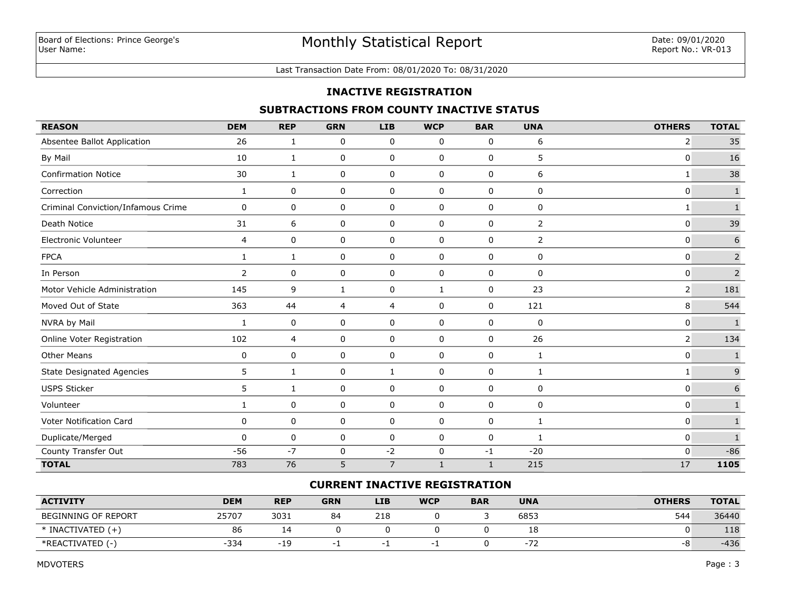#### Last Transaction Date From: 08/01/2020 To: 08/31/2020

#### **INACTIVE REGISTRATION**

## **SUBTRACTIONS FROM COUNTY INACTIVE STATUS**

| <b>REASON</b>                      | <b>DEM</b>     | <b>REP</b>   | <b>GRN</b>   | <b>LIB</b>     | <b>WCP</b>  | <b>BAR</b>  | <b>UNA</b>     | <b>OTHERS</b> | <b>TOTAL</b>   |
|------------------------------------|----------------|--------------|--------------|----------------|-------------|-------------|----------------|---------------|----------------|
| Absentee Ballot Application        | 26             | 1            | 0            | 0              | 0           | 0           | 6              | 2             | 35             |
| By Mail                            | 10             | 1            | 0            | 0              | 0           | 0           | 5              | 0             | 16             |
| <b>Confirmation Notice</b>         | 30             | 1            | 0            | 0              | 0           | 0           | 6              | 1             | 38             |
| Correction                         | 1              | 0            | 0            | 0              | 0           | 0           | 0              | 0             | $\mathbf 1$    |
| Criminal Conviction/Infamous Crime | 0              | 0            | 0            | $\mathbf 0$    | $\mathbf 0$ | $\mathbf 0$ | 0              | $\mathbf{1}$  | $\mathbf{1}$   |
| Death Notice                       | 31             | 6            | 0            | 0              | 0           | 0           | $\overline{2}$ | 0             | 39             |
| <b>Electronic Volunteer</b>        | 4              | 0            | $\mathbf 0$  | $\mathbf 0$    | $\mathbf 0$ | 0           | $\overline{2}$ | 0             | 6              |
| <b>FPCA</b>                        | $\mathbf{1}$   | $\mathbf{1}$ | 0            | 0              | 0           | 0           | 0              | 0             | $\overline{2}$ |
| In Person                          | $\overline{2}$ | 0            | 0            | $\mathbf 0$    | $\mathbf 0$ | $\mathbf 0$ | 0              | 0             | $\overline{2}$ |
| Motor Vehicle Administration       | 145            | 9            | $\mathbf{1}$ | $\pmb{0}$      | 1           | 0           | 23             |               | 181            |
| Moved Out of State                 | 363            | 44           | 4            | $\overline{4}$ | $\mathbf 0$ | 0           | 121            | 8             | 544            |
| NVRA by Mail                       | 1              | 0            | $\mathbf 0$  | 0              | $\mathbf 0$ | 0           | 0              | 0             | $\mathbf{1}$   |
| Online Voter Registration          | 102            | 4            | 0            | $\mathbf 0$    | $\mathbf 0$ | $\mathbf 0$ | 26             | 2             | 134            |
| <b>Other Means</b>                 | 0              | 0            | $\pmb{0}$    | $\pmb{0}$      | $\mathbf 0$ | 0           | 1              | 0             | $\mathbf 1$    |
| <b>State Designated Agencies</b>   | 5              | 1            | 0            | $\mathbf{1}$   | 0           | 0           | 1              | 1             | $\mathsf 9$    |
| <b>USPS Sticker</b>                | 5              | 1            | 0            | 0              | $\mathbf 0$ | 0           | 0              | 0             | $\sqrt{6}$     |
| Volunteer                          | 1              | 0            | 0            | 0              | $\mathbf 0$ | $\mathbf 0$ | 0              | 0             | $\mathbf{1}$   |
| Voter Notification Card            | 0              | 0            | 0            | 0              | $\mathsf 0$ | 0           | 1              | 0             | $\mathbf 1$    |
| Duplicate/Merged                   | $\mathbf{0}$   | 0            | 0            | 0              | 0           | 0           | 1              | 0             | $\mathbf 1$    |
| County Transfer Out                | $-56$          | $-7$         | 0            | $-2$           | $\mathsf 0$ | $-1$        | $-20$          | 0             | $-86$          |
| <b>TOTAL</b>                       | 783            | 76           | 5            | $\overline{7}$ | 1           | 1           | 215            | 17            | 1105           |

## **CURRENT INACTIVE REGISTRATION**

| <b>ACTIVITY</b>       | <b>DEM</b> | <b>REP</b> | <b>GRN</b> | <b>LIB</b> | <b>WCP</b> | <b>BAR</b> | <b>UNA</b> | <b>OTHERS</b> | <b>TOTAL</b> |
|-----------------------|------------|------------|------------|------------|------------|------------|------------|---------------|--------------|
| BEGINNING OF REPORT   | 25707      | 3031       | 84         | 218        |            |            | 6853       | 544           | 36440        |
| $*$ INACTIVATED $(+)$ | 86         | -          |            |            |            |            | Ιŏ         |               | 118          |
| *REACTIVATED (-)      | $-334$     | $-19$<br>ᅩ |            |            |            |            | $-14$      | -8            | -436         |